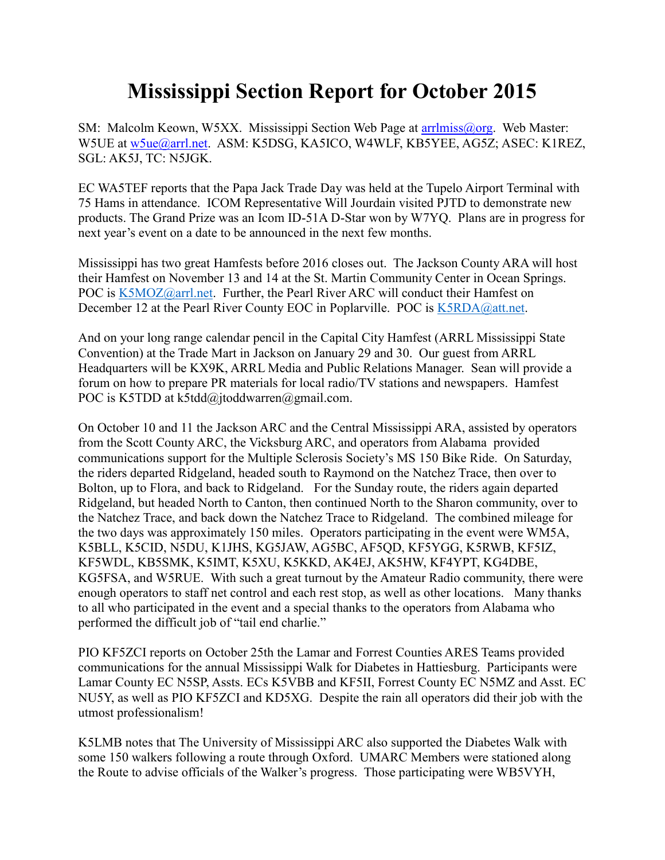## **Mississippi Section Report for October 2015**

SM: Malcolm Keown, W5XX. Mississippi Section Web Page at arrilmiss@org. Web Master: W5UE at [w5ue@arrl.net.](mailto:w5ue@arrl.net) ASM: K5DSG, KA5ICO, W4WLF, KB5YEE, AG5Z; ASEC: K1REZ, SGL: AK5J, TC: N5JGK.

EC WA5TEF reports that the Papa Jack Trade Day was held at the Tupelo Airport Terminal with 75 Hams in attendance. ICOM Representative Will Jourdain visited PJTD to demonstrate new products. The Grand Prize was an Icom ID-51A D-Star won by W7YQ. Plans are in progress for next year's event on a date to be announced in the next few months.

Mississippi has two great Hamfests before 2016 closes out. The Jackson County ARA will host their Hamfest on November 13 and 14 at the St. Martin Community Center in Ocean Springs. POC is [K5MOZ@arrl.net.](mailto:K5MOZ@arrl.net) Further, the Pearl River ARC will conduct their Hamfest on December 12 at the Pearl River County EOC in Poplarville. POC is [K5RDA@att.net.](mailto:K5RDA@att.net)

And on your long range calendar pencil in the Capital City Hamfest (ARRL Mississippi State Convention) at the Trade Mart in Jackson on January 29 and 30. Our guest from ARRL Headquarters will be KX9K, ARRL Media and Public Relations Manager. Sean will provide a forum on how to prepare PR materials for local radio/TV stations and newspapers. Hamfest POC is K5TDD at k5tdd@jtoddwarren@gmail.com.

On October 10 and 11 the Jackson ARC and the Central Mississippi ARA, assisted by operators from the Scott County ARC, the Vicksburg ARC, and operators from Alabama provided communications support for the Multiple Sclerosis Society's MS 150 Bike Ride. On Saturday, the riders departed Ridgeland, headed south to Raymond on the Natchez Trace, then over to Bolton, up to Flora, and back to Ridgeland. For the Sunday route, the riders again departed Ridgeland, but headed North to Canton, then continued North to the Sharon community, over to the Natchez Trace, and back down the Natchez Trace to Ridgeland. The combined mileage for the two days was approximately 150 miles. Operators participating in the event were WM5A, K5BLL, K5CID, N5DU, K1JHS, KG5JAW, AG5BC, AF5QD, KF5YGG, K5RWB, KF5IZ, KF5WDL, KB5SMK, K5IMT, K5XU, K5KKD, AK4EJ, AK5HW, KF4YPT, KG4DBE, KG5FSA, and W5RUE. With such a great turnout by the Amateur Radio community, there were enough operators to staff net control and each rest stop, as well as other locations. Many thanks to all who participated in the event and a special thanks to the operators from Alabama who performed the difficult job of "tail end charlie."

PIO KF5ZCI reports on October 25th the Lamar and Forrest Counties ARES Teams provided communications for the annual Mississippi Walk for Diabetes in Hattiesburg. Participants were Lamar County EC N5SP, Assts. ECs K5VBB and KF5II, Forrest County EC N5MZ and Asst. EC NU5Y, as well as PIO KF5ZCI and KD5XG. Despite the rain all operators did their job with the utmost professionalism!

K5LMB notes that The University of Mississippi ARC also supported the Diabetes Walk with some 150 walkers following a route through Oxford. UMARC Members were stationed along the Route to advise officials of the Walker's progress. Those participating were WB5VYH,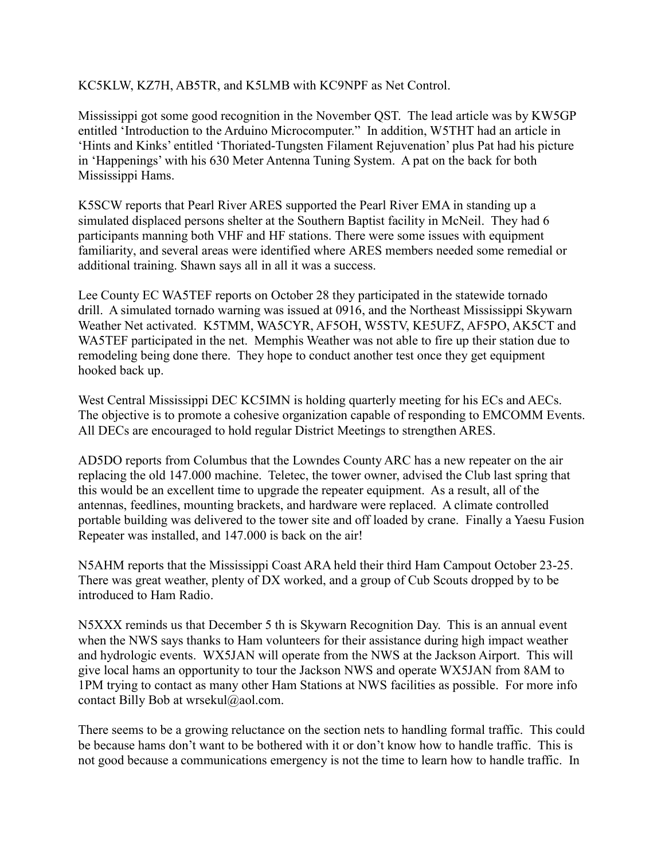## KC5KLW, KZ7H, AB5TR, and K5LMB with KC9NPF as Net Control.

Mississippi got some good recognition in the November QST. The lead article was by KW5GP entitled 'Introduction to the Arduino Microcomputer." In addition, W5THT had an article in 'Hints and Kinks' entitled 'Thoriated-Tungsten Filament Rejuvenation' plus Pat had his picture in 'Happenings' with his 630 Meter Antenna Tuning System. A pat on the back for both Mississippi Hams.

K5SCW reports that Pearl River ARES supported the Pearl River EMA in standing up a simulated displaced persons shelter at the Southern Baptist facility in McNeil. They had 6 participants manning both VHF and HF stations. There were some issues with equipment familiarity, and several areas were identified where ARES members needed some remedial or additional training. Shawn says all in all it was a success.

Lee County EC WA5TEF reports on October 28 they participated in the statewide tornado drill. A simulated tornado warning was issued at 0916, and the Northeast Mississippi Skywarn Weather Net activated. K5TMM, WA5CYR, AF5OH, W5STV, KE5UFZ, AF5PO, AK5CT and WA5TEF participated in the net. Memphis Weather was not able to fire up their station due to remodeling being done there. They hope to conduct another test once they get equipment hooked back up.

West Central Mississippi DEC KC5IMN is holding quarterly meeting for his ECs and AECs. The objective is to promote a cohesive organization capable of responding to EMCOMM Events. All DECs are encouraged to hold regular District Meetings to strengthen ARES.

AD5DO reports from Columbus that the Lowndes County ARC has a new repeater on the air replacing the old 147.000 machine. Teletec, the tower owner, advised the Club last spring that this would be an excellent time to upgrade the repeater equipment. As a result, all of the antennas, feedlines, mounting brackets, and hardware were replaced. A climate controlled portable building was delivered to the tower site and off loaded by crane. Finally a Yaesu Fusion Repeater was installed, and 147.000 is back on the air!

N5AHM reports that the Mississippi Coast ARA held their third Ham Campout October 23-25. There was great weather, plenty of DX worked, and a group of Cub Scouts dropped by to be introduced to Ham Radio.

N5XXX reminds us that December 5 th is Skywarn Recognition Day. This is an annual event when the NWS says thanks to Ham volunteers for their assistance during high impact weather and hydrologic events. WX5JAN will operate from the NWS at the Jackson Airport. This will give local hams an opportunity to tour the Jackson NWS and operate WX5JAN from 8AM to 1PM trying to contact as many other Ham Stations at NWS facilities as possible. For more info contact Billy Bob at wrsekul@aol.com.

There seems to be a growing reluctance on the section nets to handling formal traffic. This could be because hams don't want to be bothered with it or don't know how to handle traffic. This is not good because a communications emergency is not the time to learn how to handle traffic. In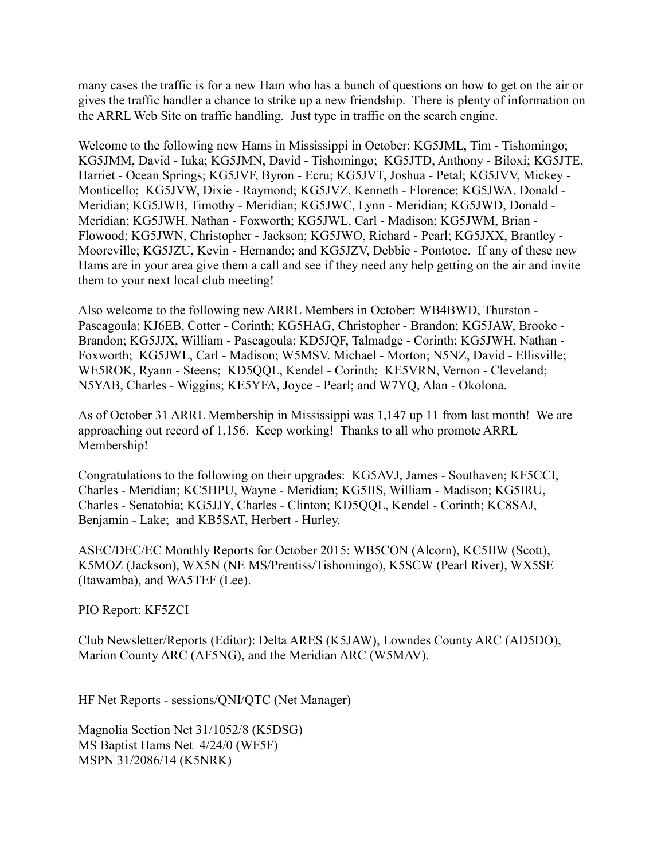many cases the traffic is for a new Ham who has a bunch of questions on how to get on the air or gives the traffic handler a chance to strike up a new friendship. There is plenty of information on the ARRL Web Site on traffic handling. Just type in traffic on the search engine.

Welcome to the following new Hams in Mississippi in October: KG5JML, Tim - Tishomingo; KG5JMM, David - Iuka; KG5JMN, David - Tishomingo; KG5JTD, Anthony - Biloxi; KG5JTE, Harriet - Ocean Springs; KG5JVF, Byron - Ecru; KG5JVT, Joshua - Petal; KG5JVV, Mickey - Monticello; KG5JVW, Dixie - Raymond; KG5JVZ, Kenneth - Florence; KG5JWA, Donald - Meridian; KG5JWB, Timothy - Meridian; KG5JWC, Lynn - Meridian; KG5JWD, Donald - Meridian; KG5JWH, Nathan - Foxworth; KG5JWL, Carl - Madison; KG5JWM, Brian - Flowood; KG5JWN, Christopher - Jackson; KG5JWO, Richard - Pearl; KG5JXX, Brantley - Mooreville; KG5JZU, Kevin - Hernando; and KG5JZV, Debbie - Pontotoc. If any of these new Hams are in your area give them a call and see if they need any help getting on the air and invite them to your next local club meeting!

Also welcome to the following new ARRL Members in October: WB4BWD, Thurston - Pascagoula; KJ6EB, Cotter - Corinth; KG5HAG, Christopher - Brandon; KG5JAW, Brooke - Brandon; KG5JJX, William - Pascagoula; KD5JQF, Talmadge - Corinth; KG5JWH, Nathan - Foxworth; KG5JWL, Carl - Madison; W5MSV. Michael - Morton; N5NZ, David - Ellisville; WE5ROK, Ryann - Steens; KD5QQL, Kendel - Corinth; KE5VRN, Vernon - Cleveland; N5YAB, Charles - Wiggins; KE5YFA, Joyce - Pearl; and W7YQ, Alan - Okolona.

As of October 31 ARRL Membership in Mississippi was 1,147 up 11 from last month! We are approaching out record of 1,156. Keep working! Thanks to all who promote ARRL Membership!

Congratulations to the following on their upgrades: KG5AVJ, James - Southaven; KF5CCI, Charles - Meridian; KC5HPU, Wayne - Meridian; KG5IIS, William - Madison; KG5IRU, Charles - Senatobia; KG5JJY, Charles - Clinton; KD5QQL, Kendel - Corinth; KC8SAJ, Benjamin - Lake; and KB5SAT, Herbert - Hurley.

ASEC/DEC/EC Monthly Reports for October 2015: WB5CON (Alcorn), KC5IIW (Scott), K5MOZ (Jackson), WX5N (NE MS/Prentiss/Tishomingo), K5SCW (Pearl River), WX5SE (Itawamba), and WA5TEF (Lee).

PIO Report: KF5ZCI

Club Newsletter/Reports (Editor): Delta ARES (K5JAW), Lowndes County ARC (AD5DO), Marion County ARC (AF5NG), and the Meridian ARC (W5MAV).

HF Net Reports - sessions/QNI/QTC (Net Manager)

Magnolia Section Net 31/1052/8 (K5DSG) MS Baptist Hams Net 4/24/0 (WF5F) MSPN 31/2086/14 (K5NRK)